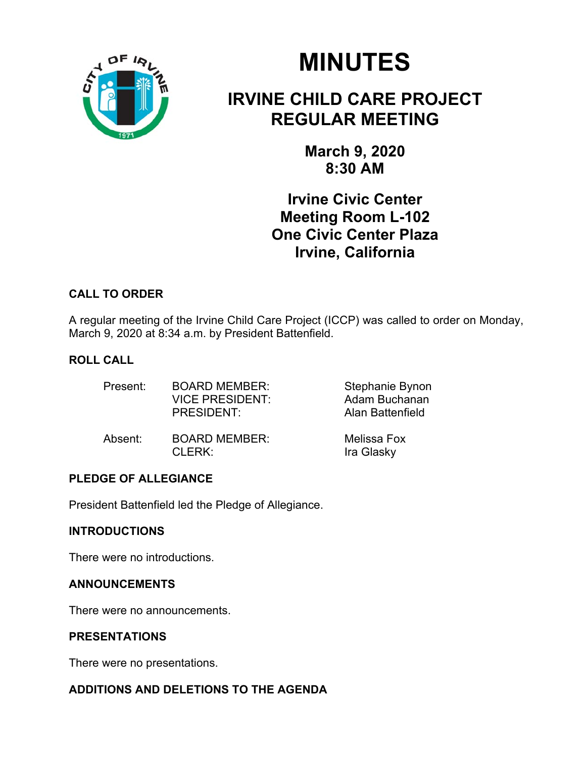

# **MINUTES**

# **IRVINE CHILD CARE PROJECT REGULAR MEETING**

**March 9, 2020 8:30 AM** 

**Irvine Civic Center Meeting Room L-102 One Civic Center Plaza Irvine, California** 

# **CALL TO ORDER**

A regular meeting of the Irvine Child Care Project (ICCP) was called to order on Monday, March 9, 2020 at 8:34 a.m. by President Battenfield.

# **ROLL CALL**

| Present: | <b>BOARD MEMBER:</b><br><b>VICE PRESIDENT:</b><br><b>PRESIDENT:</b> | Stephanie Bynon<br>Adam Buchanan<br>Alan Battenfield |
|----------|---------------------------------------------------------------------|------------------------------------------------------|
| Absent:  | <b>BOARD MEMBER:</b><br>$CI$ FRK $\cdot$                            | Melissa Fox<br>Ira Glasky                            |

# **PLEDGE OF ALLEGIANCE**

President Battenfield led the Pledge of Allegiance.

## **INTRODUCTIONS**

There were no introductions.

#### **ANNOUNCEMENTS**

There were no announcements.

## **PRESENTATIONS**

There were no presentations.

# **ADDITIONS AND DELETIONS TO THE AGENDA**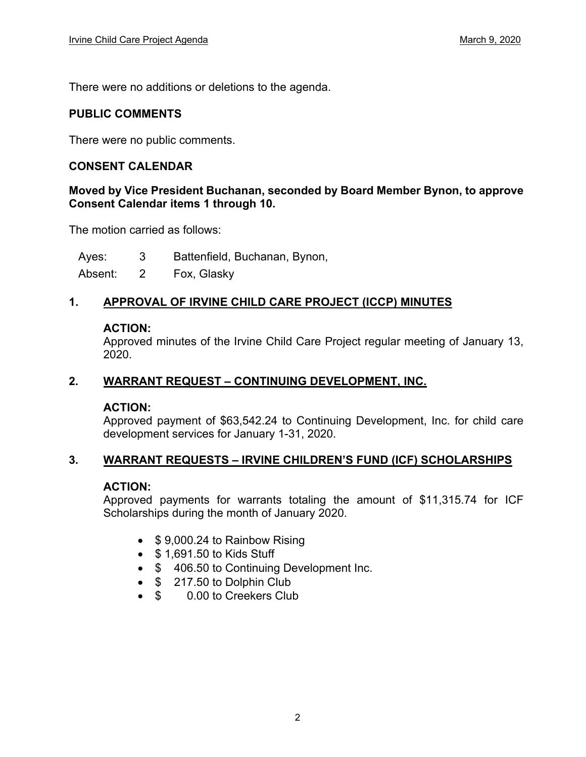There were no additions or deletions to the agenda.

#### **PUBLIC COMMENTS**

There were no public comments.

#### **CONSENT CALENDAR**

#### **Moved by Vice President Buchanan, seconded by Board Member Bynon, to approve Consent Calendar items 1 through 10.**

The motion carried as follows:

Ayes: 3 Battenfield, Buchanan, Bynon,

Absent: 2 Fox, Glasky

#### **1. APPROVAL OF IRVINE CHILD CARE PROJECT (ICCP) MINUTES**

#### **ACTION:**

Approved minutes of the Irvine Child Care Project regular meeting of January 13, 2020.

#### **2. WARRANT REQUEST – CONTINUING DEVELOPMENT, INC.**

#### **ACTION:**

Approved payment of \$63,542.24 to Continuing Development, Inc. for child care development services for January 1-31, 2020.

#### **3. WARRANT REQUESTS – IRVINE CHILDREN'S FUND (ICF) SCHOLARSHIPS**

#### **ACTION:**

Approved payments for warrants totaling the amount of \$11,315.74 for ICF Scholarships during the month of January 2020.

- \$9,000.24 to Rainbow Rising
- $\bullet$  \$ 1,691.50 to Kids Stuff
- \$ 406.50 to Continuing Development Inc.
- $\bullet$  \$ 217.50 to Dolphin Club
- \$ 0.00 to Creekers Club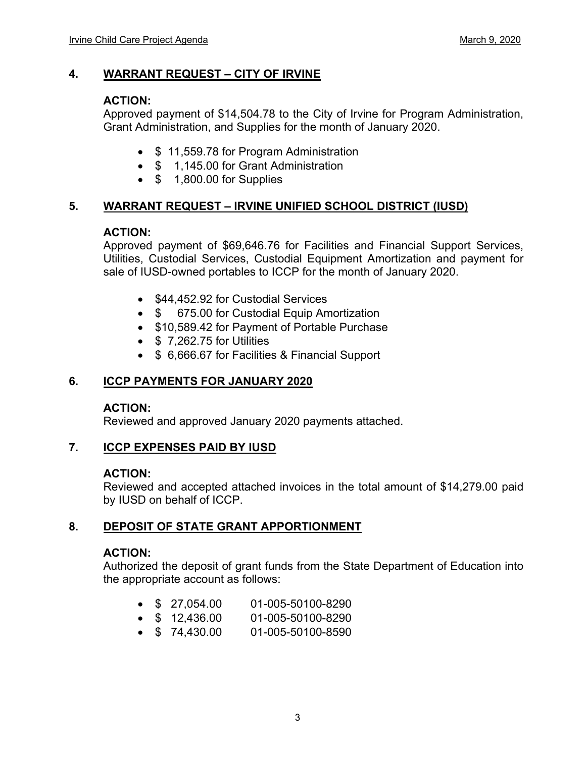#### **4. WARRANT REQUEST – CITY OF IRVINE**

#### **ACTION:**

Approved payment of \$14,504.78 to the City of Irvine for Program Administration, Grant Administration, and Supplies for the month of January 2020.

- \$11,559.78 for Program Administration
- \$ 1,145.00 for Grant Administration
- $\bullet$  \$ 1,800,00 for Supplies

#### **5. WARRANT REQUEST – IRVINE UNIFIED SCHOOL DISTRICT (IUSD)**

#### **ACTION:**

Approved payment of \$69,646.76 for Facilities and Financial Support Services, Utilities, Custodial Services, Custodial Equipment Amortization and payment for sale of IUSD-owned portables to ICCP for the month of January 2020.

- \$44,452.92 for Custodial Services
- \$ 675.00 for Custodial Equip Amortization
- \$10,589.42 for Payment of Portable Purchase
- $\bullet$  \$ 7,262.75 for Utilities
- **\$ 6,666.67 for Facilities & Financial Support**

#### **6. ICCP PAYMENTS FOR JANUARY 2020**

#### **ACTION:**

Reviewed and approved January 2020 payments attached.

#### **7. ICCP EXPENSES PAID BY IUSD**

#### **ACTION:**

Reviewed and accepted attached invoices in the total amount of \$14,279.00 paid by IUSD on behalf of ICCP.

#### **8. DEPOSIT OF STATE GRANT APPORTIONMENT**

#### **ACTION:**

Authorized the deposit of grant funds from the State Department of Education into the appropriate account as follows:

- \$ 27,054.00 01-005-50100-8290
- \$ 12,436.00 01-005-50100-8290
- \$ 74,430.00 01-005-50100-8590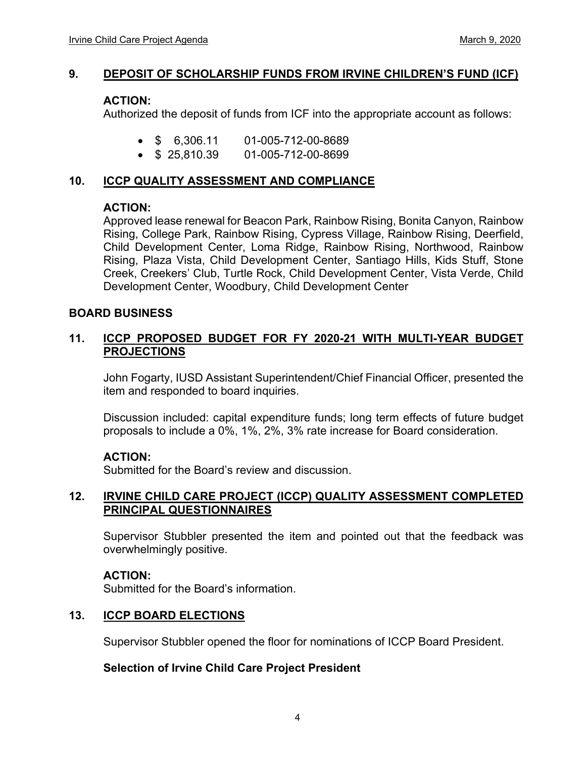#### **9. DEPOSIT OF SCHOLARSHIP FUNDS FROM IRVINE CHILDREN'S FUND (ICF)**

#### **ACTION:**

Authorized the deposit of funds from ICF into the appropriate account as follows:

- \$ 6,306.11 01-005-712-00-8689
- $\bullet$  \$ 25,810.39 01-005-712-00-8699

#### **10. ICCP QUALITY ASSESSMENT AND COMPLIANCE**

#### **ACTION:**

Approved lease renewal for Beacon Park, Rainbow Rising, Bonita Canyon, Rainbow Rising, College Park, Rainbow Rising, Cypress Village, Rainbow Rising, Deerfield, Child Development Center, Loma Ridge, Rainbow Rising, Northwood, Rainbow Rising, Plaza Vista, Child Development Center, Santiago Hills, Kids Stuff, Stone Creek, Creekers' Club, Turtle Rock, Child Development Center, Vista Verde, Child Development Center, Woodbury, Child Development Center

#### **BOARD BUSINESS**

#### **11. ICCP PROPOSED BUDGET FOR FY 2020-21 WITH MULTI-YEAR BUDGET PROJECTIONS**

John Fogarty, IUSD Assistant Superintendent/Chief Financial Officer, presented the item and responded to board inquiries.

Discussion included: capital expenditure funds; long term effects of future budget proposals to include a 0%, 1%, 2%, 3% rate increase for Board consideration.

#### **ACTION:**

Submitted for the Board's review and discussion.

#### **12. IRVINE CHILD CARE PROJECT (ICCP) QUALITY ASSESSMENT COMPLETED PRINCIPAL QUESTIONNAIRES**

Supervisor Stubbler presented the item and pointed out that the feedback was overwhelmingly positive.

#### **ACTION:**

Submitted for the Board's information.

#### **13. ICCP BOARD ELECTIONS**

Supervisor Stubbler opened the floor for nominations of ICCP Board President.

#### **Selection of Irvine Child Care Project President**